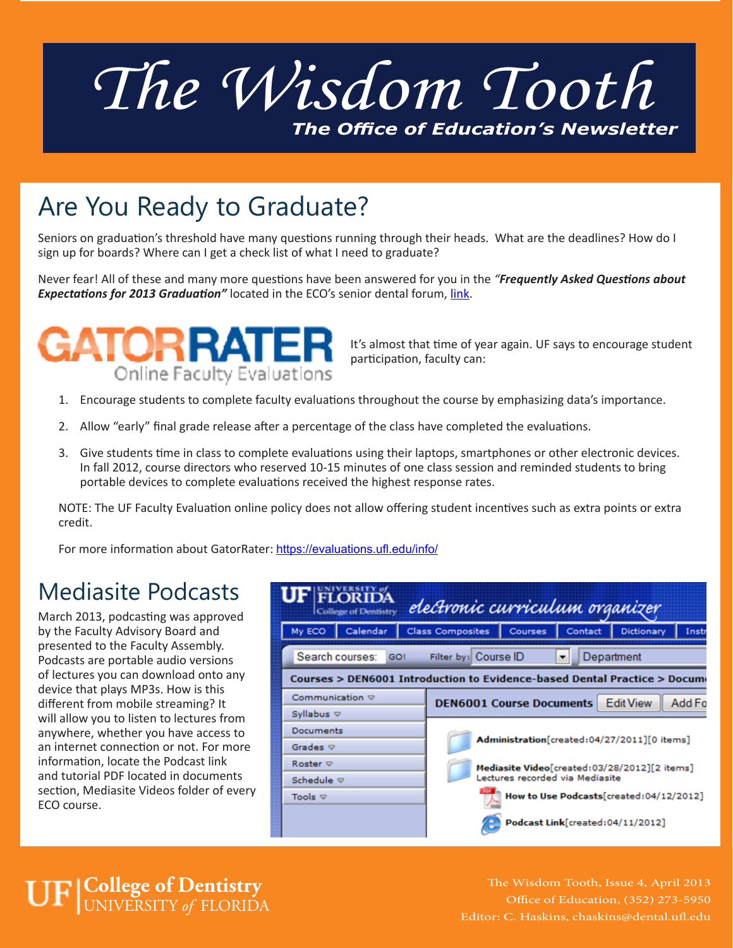

# Are You Ready to Graduate?

Seniors on graduation's threshold have many questions running through their heads. What are the deadlines? How do I sign up for boards? Where can I get a check list of what I need to graduate?

Never fear! All of these and many more questions have been answered for you in the *"Frequently Asked Questions about Expectations for 2013 Graduation"* located in the ECO's senior dental forum, [link](https://eco.dental.ufl.edu/ZF/Course/Media/1110).



It's almost that time of year again. UF says to encourage student participation, faculty can:

- 1. Encourage students to complete faculty evaluations throughout the course by emphasizing data's importance.
- 2. Allow "early" final grade release after a percentage of the class have completed the evaluations.
- 3. Give students time in class to complete evaluations using their laptops, smartphones or other electronic devices. In fall 2012, course directors who reserved 10-15 minutes of one class session and reminded students to bring portable devices to complete evaluations received the highest response rates.

NOTE: The UF Faculty Evaluation online policy does not allow offering student incentives such as extra points or extra credit.

For more information about GatorRater: https://evaluations.ufl.edu/info/

## Mediasite Podcasts

March 2013, podcasting was approved by the Faculty Advisory Board and presented to the Faculty Assembly. Podcasts are portable audio versions of lectures you can download onto any device that plays MP3s. How is this different from mobile streaming? It will allow you to listen to lectures from anywhere, whether you have access to an internet connection or not. For more information, locate the Podcast link and tutorial PDF located in documents section, Mediasite Videos folder of every ECO course.



#### **College of Dentistry** UNIVERSITY *of* FLORIDA

The Wisdom Tooth, Issue 4, April 2013 Office of Education, (352) 273-5950 Editor: C. Haskins, chaskins@dental.ufl.edu